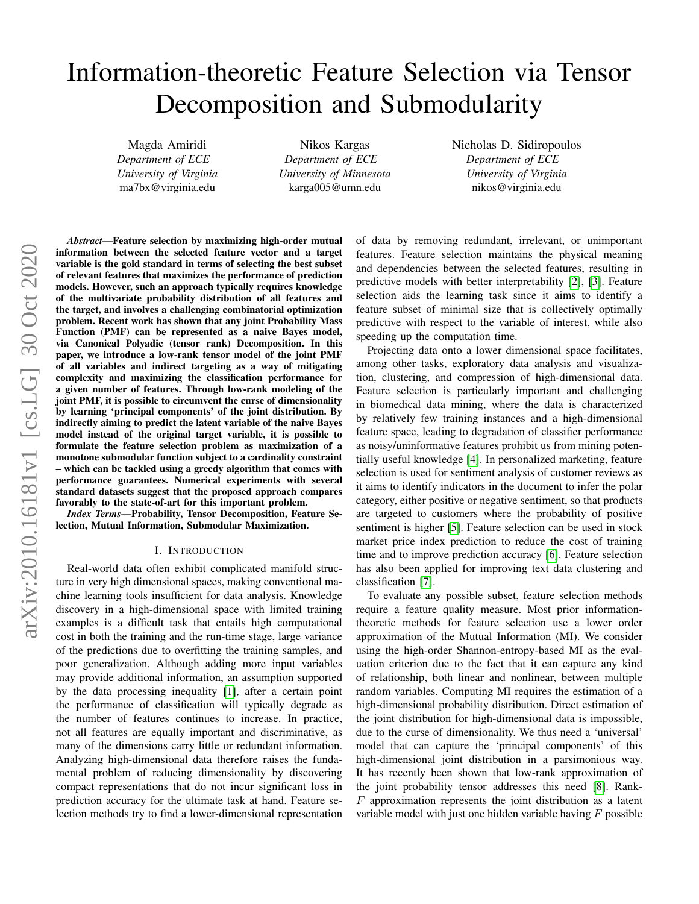# Information-theoretic Feature Selection via Tensor Decomposition and Submodularity

Magda Amiridi *Department of ECE University of Virginia* ma7bx@virginia.edu

Nikos Kargas *Department of ECE University of Minnesota* karga005@umn.edu

Nicholas D. Sidiropoulos *Department of ECE University of Virginia* nikos@virginia.edu

*Abstract*—Feature selection by maximizing high-order mutual information between the selected feature vector and a target variable is the gold standard in terms of selecting the best subset of relevant features that maximizes the performance of prediction models. However, such an approach typically requires knowledge of the multivariate probability distribution of all features and the target, and involves a challenging combinatorial optimization problem. Recent work has shown that any joint Probability Mass Function (PMF) can be represented as a naive Bayes model, via Canonical Polyadic (tensor rank) Decomposition. In this paper, we introduce a low-rank tensor model of the joint PMF of all variables and indirect targeting as a way of mitigating complexity and maximizing the classification performance for a given number of features. Through low-rank modeling of the joint PMF, it is possible to circumvent the curse of dimensionality by learning 'principal components' of the joint distribution. By indirectly aiming to predict the latent variable of the naive Bayes model instead of the original target variable, it is possible to formulate the feature selection problem as maximization of a monotone submodular function subject to a cardinality constraint – which can be tackled using a greedy algorithm that comes with performance guarantees. Numerical experiments with several standard datasets suggest that the proposed approach compares favorably to the state-of-art for this important problem.

*Index Terms*—Probability, Tensor Decomposition, Feature Selection, Mutual Information, Submodular Maximization.

#### I. INTRODUCTION

Real-world data often exhibit complicated manifold structure in very high dimensional spaces, making conventional machine learning tools insufficient for data analysis. Knowledge discovery in a high-dimensional space with limited training examples is a difficult task that entails high computational cost in both the training and the run-time stage, large variance of the predictions due to overfitting the training samples, and poor generalization. Although adding more input variables may provide additional information, an assumption supported by the data processing inequality [\[1\]](#page-6-0), after a certain point the performance of classification will typically degrade as the number of features continues to increase. In practice, not all features are equally important and discriminative, as many of the dimensions carry little or redundant information. Analyzing high-dimensional data therefore raises the fundamental problem of reducing dimensionality by discovering compact representations that do not incur significant loss in prediction accuracy for the ultimate task at hand. Feature selection methods try to find a lower-dimensional representation of data by removing redundant, irrelevant, or unimportant features. Feature selection maintains the physical meaning and dependencies between the selected features, resulting in predictive models with better interpretability [\[2\]](#page-6-1), [\[3\]](#page-6-2). Feature selection aids the learning task since it aims to identify a feature subset of minimal size that is collectively optimally predictive with respect to the variable of interest, while also speeding up the computation time.

Projecting data onto a lower dimensional space facilitates, among other tasks, exploratory data analysis and visualization, clustering, and compression of high-dimensional data. Feature selection is particularly important and challenging in biomedical data mining, where the data is characterized by relatively few training instances and a high-dimensional feature space, leading to degradation of classifier performance as noisy/uninformative features prohibit us from mining potentially useful knowledge [\[4\]](#page-6-3). In personalized marketing, feature selection is used for sentiment analysis of customer reviews as it aims to identify indicators in the document to infer the polar category, either positive or negative sentiment, so that products are targeted to customers where the probability of positive sentiment is higher [\[5\]](#page-6-4). Feature selection can be used in stock market price index prediction to reduce the cost of training time and to improve prediction accuracy [\[6\]](#page-6-5). Feature selection has also been applied for improving text data clustering and classification [\[7\]](#page-6-6).

To evaluate any possible subset, feature selection methods require a feature quality measure. Most prior informationtheoretic methods for feature selection use a lower order approximation of the Mutual Information (MI). We consider using the high-order Shannon-entropy-based MI as the evaluation criterion due to the fact that it can capture any kind of relationship, both linear and nonlinear, between multiple random variables. Computing MI requires the estimation of a high-dimensional probability distribution. Direct estimation of the joint distribution for high-dimensional data is impossible, due to the curse of dimensionality. We thus need a 'universal' model that can capture the 'principal components' of this high-dimensional joint distribution in a parsimonious way. It has recently been shown that low-rank approximation of the joint probability tensor addresses this need [\[8\]](#page-6-7). Rank- $F$  approximation represents the joint distribution as a latent variable model with just one hidden variable having  $F$  possible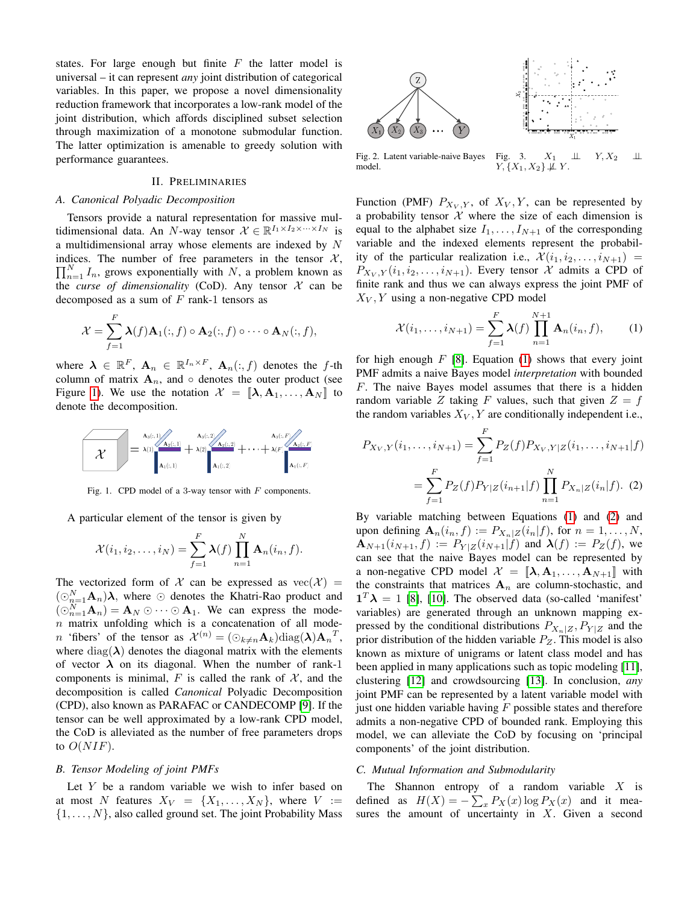states. For large enough but finite  $F$  the latter model is universal – it can represent *any* joint distribution of categorical variables. In this paper, we propose a novel dimensionality reduction framework that incorporates a low-rank model of the joint distribution, which affords disciplined subset selection through maximization of a monotone submodular function. The latter optimization is amenable to greedy solution with performance guarantees.

#### II. PRELIMINARIES

#### *A. Canonical Polyadic Decomposition*

Tensors provide a natural representation for massive multidimensional data. An N-way tensor  $\mathcal{X} \in \mathbb{R}^{I_1 \times I_2 \times \cdots \times I_N}$  is a multidimensional array whose elements are indexed by N indices. The number of free parameters in the tensor  $X$ ,  $\prod_{n=1}^{N} I_n$ , grows exponentially with N, a problem known as the *curse of dimensionality* (CoD). Any tensor  $X$  can be decomposed as a sum of  $F$  rank-1 tensors as

$$
\mathcal{X} = \sum_{f=1}^F \mathbf{\lambda}(f) \mathbf{A}_1(:,f) \circ \mathbf{A}_2(:,f) \circ \cdots \circ \mathbf{A}_N(:,f),
$$

where  $\lambda \in \mathbb{R}^F$ ,  $\mathbf{A}_n \in \mathbb{R}^{I_n \times F}$ ,  $\mathbf{A}_n(:,f)$  denotes the f-th column of matrix  $A_n$ , and  $\circ$  denotes the outer product (see Figure [1\)](#page-1-0). We use the notation  $\mathcal{X} = [\![\boldsymbol{\lambda}, \boldsymbol{\mathbf{A}}_1, \dots, \boldsymbol{\mathbf{A}}_N]\!]$  to denote the decomposition.



Fig. 1. CPD model of a 3-way tensor with  $F$  components.

A particular element of the tensor is given by

$$
\mathcal{X}(i_1,i_2,\ldots,i_N)=\sum_{f=1}^F \lambda(f) \prod_{n=1}^N \mathbf{A}_n(i_n,f).
$$

The vectorized form of X can be expressed as  $\text{vec}(\mathcal{X}) =$  $(\odot_{n=1}^{N} A_n) \lambda$ , where  $\odot$  denotes the Khatri-Rao product and  $(\bigcirc_{n=1}^{N} \mathbf{A}_n) = \mathbf{A}_N \bigcirc \cdots \bigcirc \mathbf{A}_1$ . We can express the mode $n$  matrix unfolding which is a concatenation of all mode*n* 'fibers' of the tensor as  $\mathcal{X}^{(n)} = (\bigcirc_{k \neq n} \mathbf{A}_k) \text{diag}(\boldsymbol{\lambda}) \mathbf{A}_n^T$ , where  $diag(\lambda)$  denotes the diagonal matrix with the elements of vector  $\lambda$  on its diagonal. When the number of rank-1 components is minimal, F is called the rank of  $X$ , and the decomposition is called *Canonical* Polyadic Decomposition (CPD), also known as PARAFAC or CANDECOMP [\[9\]](#page-6-8). If the tensor can be well approximated by a low-rank CPD model, the CoD is alleviated as the number of free parameters drops to  $O(NIF)$ .

#### *B. Tensor Modeling of joint PMFs*

Let  $Y$  be a random variable we wish to infer based on at most N features  $X_V = \{X_1, \ldots, X_N\}$ , where  $V :=$  $\{1, \ldots, N\}$ , also called ground set. The joint Probability Mass



<span id="page-1-4"></span><span id="page-1-3"></span>Fig. 2. Latent variable-naive Bayes model. Fig. 3.  $X_1$   $\perp \!\!\! \perp$   $Y, X_2$   $\perp \!\!\! \perp$  $Y, \{X_1, X_2\} \not\perp\!\!\!\perp Y$ .

Function (PMF)  $P_{X_V, Y}$ , of  $X_V, Y$ , can be represented by a probability tensor  $X$  where the size of each dimension is equal to the alphabet size  $I_1, \ldots, I_{N+1}$  of the corresponding variable and the indexed elements represent the probability of the particular realization i.e.,  $\mathcal{X}(i_1, i_2, \ldots, i_{N+1})$  =  $P_{X_V, Y}(i_1, i_2, \ldots, i_{N+1})$ . Every tensor X admits a CPD of finite rank and thus we can always express the joint PMF of  $X_V, Y$  using a non-negative CPD model

<span id="page-1-1"></span>
$$
\mathcal{X}(i_1,\ldots,i_{N+1}) = \sum_{f=1}^{F} \lambda(f) \prod_{n=1}^{N+1} \mathbf{A}_n(i_n,f),
$$
 (1)

for high enough  $F$  [\[8\]](#page-6-7). Equation [\(1\)](#page-1-1) shows that every joint PMF admits a naive Bayes model *interpretation* with bounded F. The naive Bayes model assumes that there is a hidden random variable Z taking F values, such that given  $Z = f$ the random variables  $X_V, Y$  are conditionally independent i.e.,

<span id="page-1-2"></span><span id="page-1-0"></span>
$$
P_{X_V,Y}(i_1,\ldots,i_{N+1}) = \sum_{f=1}^{F} P_Z(f) P_{X_V,Y|Z}(i_1,\ldots,i_{N+1}|f)
$$
  
= 
$$
\sum_{f=1}^{F} P_Z(f) P_{Y|Z}(i_{n+1}|f) \prod_{n=1}^{N} P_{X_n|Z}(i_n|f).
$$
 (2)

By variable matching between Equations [\(1\)](#page-1-1) and [\(2\)](#page-1-2) and upon defining  $\mathbf{A}_n(i_n, f) := P_{X_n|Z}(i_n|f)$ , for  $n = 1, ..., N$ ,  ${\bf A}_{N+1}(i_{N+1}, f) := P_{Y|Z}(i_{N+1}|f)$  and  ${\bf \lambda}(f) := P_Z(f)$ , we can see that the naive Bayes model can be represented by a non-negative CPD model  $\mathcal{X} = [\![\boldsymbol{\lambda}, \boldsymbol{\mathbf{A}}_1, \dots, \boldsymbol{\mathbf{A}}_{N+1}]\!]$  with the constraints that matrices  $A_n$  are column-stochastic, and  $1^T \lambda = 1$  [\[8\]](#page-6-7), [\[10\]](#page-6-9). The observed data (so-called 'manifest' variables) are generated through an unknown mapping expressed by the conditional distributions  $P_{X_n|Z}, P_{Y|Z}$  and the prior distribution of the hidden variable  $P_Z$ . This model is also known as mixture of unigrams or latent class model and has been applied in many applications such as topic modeling [\[11\]](#page-6-10), clustering [\[12\]](#page-6-11) and crowdsourcing [\[13\]](#page-6-12). In conclusion, *any* joint PMF can be represented by a latent variable model with just one hidden variable having  $F$  possible states and therefore admits a non-negative CPD of bounded rank. Employing this model, we can alleviate the CoD by focusing on 'principal components' of the joint distribution.

# *C. Mutual Information and Submodularity*

The Shannon entropy of a random variable  $X$  is defined as  $H(X) = -\sum_{x} P_X(x) \log P_X(x)$  and it measures the amount of uncertainty in  $X$ . Given a second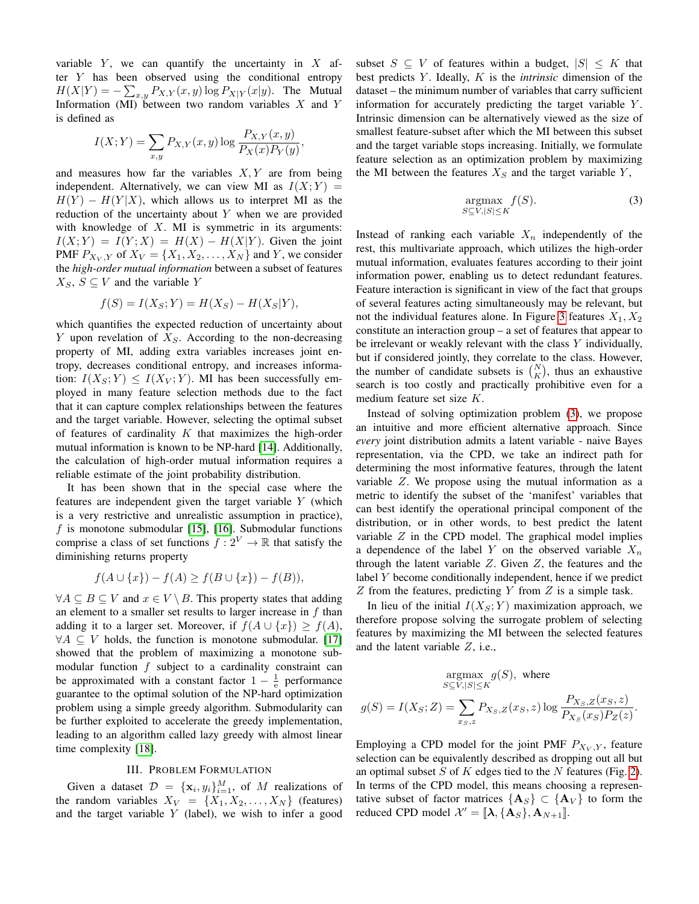variable  $Y$ , we can quantify the uncertainty in  $X$  after  $Y$  has been observed using the conditional entropy  $H(X|Y) = -\sum_{x,y} P_{X,Y}(x,y) \log P_{X|Y}(x|y)$ . The Mutual Information (MI) between two random variables  $X$  and  $Y$ is defined as

$$
I(X;Y) = \sum_{x,y} P_{X,Y}(x,y) \log \frac{P_{X,Y}(x,y)}{P_X(x)P_Y(y)},
$$

and measures how far the variables  $X, Y$  are from being independent. Alternatively, we can view MI as  $I(X; Y) =$  $H(Y) - H(Y|X)$ , which allows us to interpret MI as the reduction of the uncertainty about  $Y$  when we are provided with knowledge of  $X$ . MI is symmetric in its arguments:  $I(X;Y) = I(Y;X) = H(X) - H(X|Y)$ . Given the joint PMF  $P_{X_V, Y}$  of  $X_V = \{X_1, X_2, \ldots, X_N\}$  and Y, we consider the *high-order mutual information* between a subset of features  $X_S$ ,  $S \subseteq V$  and the variable Y

$$
f(S) = I(X_S; Y) = H(X_S) - H(X_S|Y),
$$

which quantifies the expected reduction of uncertainty about  $Y$  upon revelation of  $X_S$ . According to the non-decreasing property of MI, adding extra variables increases joint entropy, decreases conditional entropy, and increases information:  $I(X_S; Y) \leq I(X_V; Y)$ . MI has been successfully employed in many feature selection methods due to the fact that it can capture complex relationships between the features and the target variable. However, selecting the optimal subset of features of cardinality  $K$  that maximizes the high-order mutual information is known to be NP-hard [\[14\]](#page-6-13). Additionally, the calculation of high-order mutual information requires a reliable estimate of the joint probability distribution.

It has been shown that in the special case where the features are independent given the target variable Y (which is a very restrictive and unrealistic assumption in practice),  $f$  is monotone submodular [\[15\]](#page-6-14), [\[16\]](#page-6-15). Submodular functions comprise a class of set functions  $f: 2^V \to \mathbb{R}$  that satisfy the diminishing returns property

$$
f(A \cup \{x\}) - f(A) \ge f(B \cup \{x\}) - f(B)),
$$

 $\forall A \subseteq B \subseteq V$  and  $x \in V \setminus B$ . This property states that adding an element to a smaller set results to larger increase in  $f$  than adding it to a larger set. Moreover, if  $f(A \cup \{x\}) \ge f(A)$ ,  $\forall A \subseteq V$  holds, the function is monotone submodular. [\[17\]](#page-6-16) showed that the problem of maximizing a monotone submodular function  $f$  subject to a cardinality constraint can be approximated with a constant factor  $1 - \frac{1}{e}$  performance guarantee to the optimal solution of the NP-hard optimization problem using a simple greedy algorithm. Submodularity can be further exploited to accelerate the greedy implementation, leading to an algorithm called lazy greedy with almost linear time complexity [\[18\]](#page-6-17).

## III. PROBLEM FORMULATION

Given a dataset  $\mathcal{D} = {\mathbf{x}_i, y_i}_{i=1}^M$ , of M realizations of the random variables  $X_V = \{X_1, X_2, \ldots, X_N\}$  (features) and the target variable  $Y$  (label), we wish to infer a good subset  $S \subseteq V$  of features within a budget,  $|S| \leq K$  that best predicts Y . Ideally, K is the *intrinsic* dimension of the dataset – the minimum number of variables that carry sufficient information for accurately predicting the target variable Y. Intrinsic dimension can be alternatively viewed as the size of smallest feature-subset after which the MI between this subset and the target variable stops increasing. Initially, we formulate feature selection as an optimization problem by maximizing the MI between the features  $X<sub>S</sub>$  and the target variable Y,

<span id="page-2-0"></span>
$$
\underset{S \subseteq V, |S| \le K}{\operatorname{argmax}} f(S). \tag{3}
$$

Instead of ranking each variable  $X_n$  independently of the rest, this multivariate approach, which utilizes the high-order mutual information, evaluates features according to their joint information power, enabling us to detect redundant features. Feature interaction is significant in view of the fact that groups of several features acting simultaneously may be relevant, but not the individual features alone. In Figure [3](#page-1-3) features  $X_1, X_2$ constitute an interaction group – a set of features that appear to be irrelevant or weakly relevant with the class  $Y$  individually, but if considered jointly, they correlate to the class. However, the number of candidate subsets is  $\binom{N}{K}$ , thus an exhaustive search is too costly and practically prohibitive even for a medium feature set size K.

Instead of solving optimization problem [\(3\)](#page-2-0), we propose an intuitive and more efficient alternative approach. Since *every* joint distribution admits a latent variable - naive Bayes representation, via the CPD, we take an indirect path for determining the most informative features, through the latent variable Z. We propose using the mutual information as a metric to identify the subset of the 'manifest' variables that can best identify the operational principal component of the distribution, or in other words, to best predict the latent variable  $Z$  in the CPD model. The graphical model implies a dependence of the label Y on the observed variable  $X_n$ through the latent variable  $Z$ . Given  $Z$ , the features and the label Y become conditionally independent, hence if we predict  $Z$  from the features, predicting  $Y$  from  $Z$  is a simple task.

In lieu of the initial  $I(X_S; Y)$  maximization approach, we therefore propose solving the surrogate problem of selecting features by maximizing the MI between the selected features and the latent variable Z, i.e.,

$$
\underset{S \subseteq V, |S| \le K}{\text{argmax}} g(S), \text{ where}
$$
\n
$$
g(S) = I(X_S; Z) = \sum_{x_S, z} P_{X_S, Z}(x_S, z) \log \frac{P_{X_S, Z}(x_S, z)}{P_{X_S}(x_S) P_Z(z)}.
$$

Employing a CPD model for the joint PMF  $P_{X_V, Y}$ , feature selection can be equivalently described as dropping out all but an optimal subset  $S$  of  $K$  edges tied to the  $N$  features (Fig. [2\)](#page-1-4). In terms of the CPD model, this means choosing a representative subset of factor matrices  ${A_S} \subset {A_V}$  to form the reduced CPD model  $\mathcal{X}' = [\![\mathbf{\lambda}, \{\mathbf{A}_S\}, \mathbf{A}_{N+1}]\!]$ .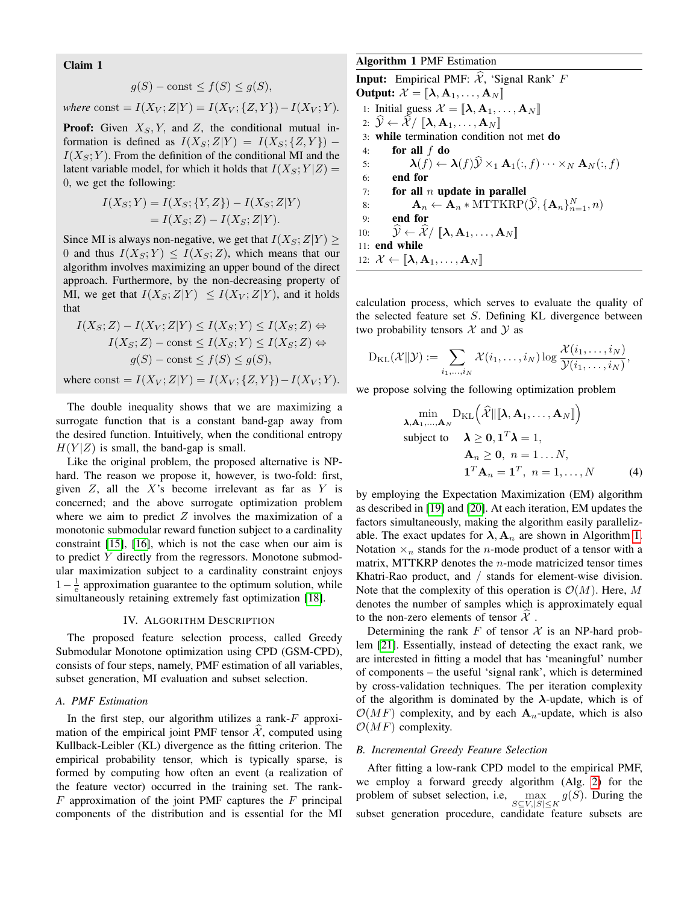Claim 1

$$
g(S) - \text{const} \le f(S) \le g(S),
$$

where const = 
$$
I(X_V; Z|Y) = I(X_V; {Z, Y}) - I(X_V; Y)
$$
.

**Proof:** Given  $X_s, Y$ , and Z, the conditional mutual information is defined as  $I(X_S;Z|Y) = I(X_S;\{Z,Y\})$  –  $I(X_S; Y)$ . From the definition of the conditional MI and the latent variable model, for which it holds that  $I(X_S; Y|Z) =$ 0, we get the following:

$$
I(X_S; Y) = I(X_S; \{Y, Z\}) - I(X_S; Z|Y)
$$
  
=  $I(X_S; Z) - I(X_S; Z|Y)$ .

Since MI is always non-negative, we get that  $I(X_S; Z|Y) \geq$ 0 and thus  $I(X_S; Y) \leq I(X_S; Z)$ , which means that our algorithm involves maximizing an upper bound of the direct approach. Furthermore, by the non-decreasing property of MI, we get that  $I(X_S; Z|Y) \leq I(X_V; Z|Y)$ , and it holds that

$$
I(X_S; Z) - I(X_V; Z|Y) \leq I(X_S; Y) \leq I(X_S; Z) \Leftrightarrow
$$
  
\n
$$
I(X_S; Z) - \text{const} \leq I(X_S; Y) \leq I(X_S; Z) \Leftrightarrow
$$
  
\n
$$
g(S) - \text{const} \leq f(S) \leq g(S),
$$
  
\nwhere const =  $I(X_V; Z|Y) = I(X_V; \{Z, Y\}) - I(X_V; Y).$ 

The double inequality shows that we are maximizing a surrogate function that is a constant band-gap away from the desired function. Intuitively, when the conditional entropy  $H(Y|Z)$  is small, the band-gap is small.

Like the original problem, the proposed alternative is NPhard. The reason we propose it, however, is two-fold: first, given  $Z$ , all the  $X$ 's become irrelevant as far as  $Y$  is concerned; and the above surrogate optimization problem where we aim to predict  $Z$  involves the maximization of a monotonic submodular reward function subject to a cardinality constraint [\[15\]](#page-6-14), [\[16\]](#page-6-15), which is not the case when our aim is to predict Y directly from the regressors. Monotone submodular maximization subject to a cardinality constraint enjoys  $1-\frac{1}{e}$  approximation guarantee to the optimum solution, while simultaneously retaining extremely fast optimization [\[18\]](#page-6-17).

#### IV. ALGORITHM DESCRIPTION

The proposed feature selection process, called Greedy Submodular Monotone optimization using CPD (GSM-CPD), consists of four steps, namely, PMF estimation of all variables, subset generation, MI evaluation and subset selection.

#### *A. PMF Estimation*

In the first step, our algorithm utilizes a rank- $F$  approximation of the empirical joint PMF tensor  $\mathcal{X}$ , computed using Kullback-Leibler (KL) divergence as the fitting criterion. The empirical probability tensor, which is typically sparse, is formed by computing how often an event (a realization of the feature vector) occurred in the training set. The rank- $F$  approximation of the joint PMF captures the  $F$  principal components of the distribution and is essential for the MI Algorithm 1 PMF Estimation

<span id="page-3-0"></span>**Input:** Empirical PMF:  $\hat{\mathcal{X}}$ , 'Signal Rank' F Output:  $\mathcal{X} = [\![ \boldsymbol{\lambda}, \mathbf{A}_1, \dots, \mathbf{A}_N ]\!]$ 1: Initial guess  $\mathcal{X} = [\![\boldsymbol{\lambda}, \boldsymbol{\mathbf{A}}_1, \dots, \boldsymbol{\mathbf{A}}_N]\!]$ 2:  $\mathcal{Y} \leftarrow \mathcal{X}/\llbracket \lambda, \mathbf{A}_1, \ldots, \mathbf{A}_N \rrbracket$ 3: while termination condition not met do 4: for all  $f$  do 5:  $\lambda(f) \leftarrow \lambda(f)\hat{\mathcal{Y}} \times_1 \mathbf{A}_1(:, f) \cdots \times_N \mathbf{A}_N(:, f)$ <br>6: **end for** 6: end for 7: for all  $n$  update in parallel 8:  $\mathbf{A}_n \leftarrow \mathbf{A}_n * \text{MTTKRP}(\hat{\mathcal{Y}}, \{\mathbf{A}_n\}_{n=1}^N, n)$ 9: end for 10:  $\widehat{\mathcal{Y}} \leftarrow \widehat{\mathcal{X}} / [\![ \boldsymbol{\lambda}, \mathbf{A}_1, \dots, \mathbf{A}_N ]\!]$ 11: end while 12:  $\mathcal{X} \leftarrow [\![\boldsymbol{\lambda}, \mathbf{A}_1, \ldots, \mathbf{A}_N]\!]$ 

calculation process, which serves to evaluate the quality of the selected feature set S. Defining KL divergence between two probability tensors  $\mathcal X$  and  $\mathcal Y$  as

$$
D_{KL}(\mathcal{X}||\mathcal{Y}) := \sum_{i_1,\ldots,i_N} \mathcal{X}(i_1,\ldots,i_N) \log \frac{\mathcal{X}(i_1,\ldots,i_N)}{\mathcal{Y}(i_1,\ldots,i_N)},
$$

we propose solving the following optimization problem

$$
\min_{\mathbf{\lambda}, \mathbf{A}_1, ..., \mathbf{A}_N} \mathrm{D}_{\mathrm{KL}}\left(\widehat{\mathcal{X}}\|\|\mathbf{\lambda}, \mathbf{A}_1, ..., \mathbf{A}_N\|\right)
$$
\nsubject to  $\mathbf{\lambda} \geq \mathbf{0}, \mathbf{1}^T \mathbf{\lambda} = 1$ ,  
\n $\mathbf{A}_n \geq \mathbf{0}, n = 1...N$ ,  
\n $\mathbf{1}^T \mathbf{A}_n = \mathbf{1}^T, n = 1, ..., N$  (4)

by employing the Expectation Maximization (EM) algorithm as described in [\[19\]](#page-6-18) and [\[20\]](#page-6-19). At each iteration, EM updates the factors simultaneously, making the algorithm easily parallelizable. The exact updates for  $\lambda$ ,  $A_n$  are shown in Algorithm [1.](#page-3-0) Notation  $\times_n$  stands for the *n*-mode product of a tensor with a matrix, MTTKRP denotes the  $n$ -mode matricized tensor times Khatri-Rao product, and / stands for element-wise division. Note that the complexity of this operation is  $\mathcal{O}(M)$ . Here, M denotes the number of samples which is approximately equal to the non-zero elements of tensor  $\mathcal X$ .

Determining the rank F of tensor  $\mathcal X$  is an NP-hard problem [\[21\]](#page-6-20). Essentially, instead of detecting the exact rank, we are interested in fitting a model that has 'meaningful' number of components – the useful 'signal rank', which is determined by cross-validation techniques. The per iteration complexity of the algorithm is dominated by the  $\lambda$ -update, which is of  $\mathcal{O}(MF)$  complexity, and by each  $\mathbf{A}_n$ -update, which is also  $\mathcal{O}(MF)$  complexity.

#### *B. Incremental Greedy Feature Selection*

After fitting a low-rank CPD model to the empirical PMF, we employ a forward greedy algorithm (Alg. [2\)](#page-4-0) for the problem of subset selection, i.e,  $\max_{S \subseteq V, |S| \leq K} g(S)$ . During the subset generation procedure, candidate feature subsets are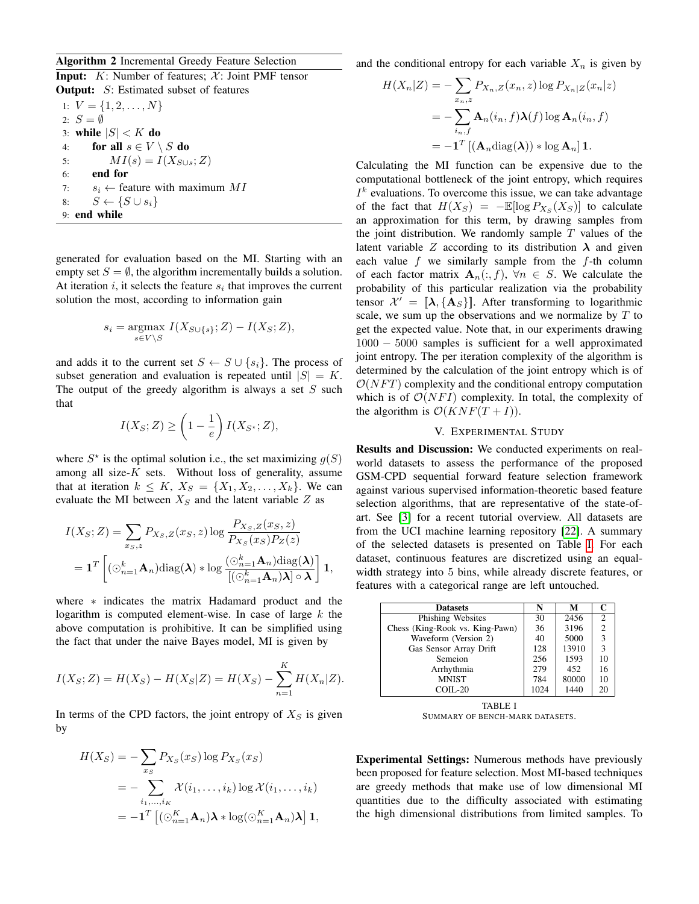## Algorithm 2 Incremental Greedy Feature Selection

<span id="page-4-0"></span>**Input:**  $K$ : Number of features;  $\mathcal{X}$ : Joint PMF tensor **Output:** S: Estimated subset of features

1:  $V = \{1, 2, \ldots, N\}$ 2:  $S = \emptyset$ 3: while  $|S| < K$  do 4: for all  $s \in V \setminus S$  do 5:  $MI(s) = I(X_{S \cup s}; Z)$ 6: end for 7:  $s_i \leftarrow$  feature with maximum MI 8:  $S \leftarrow \{S \cup s_i\}$ 9: end while

generated for evaluation based on the MI. Starting with an empty set  $S = \emptyset$ , the algorithm incrementally builds a solution. At iteration  $i$ , it selects the feature  $s_i$  that improves the current solution the most, according to information gain

$$
s_i = \underset{s \in V \backslash S}{\operatorname{argmax}} \ I(X_{S \cup \{s\}}; Z) - I(X_S; Z),
$$

and adds it to the current set  $S \leftarrow S \cup \{s_i\}$ . The process of subset generation and evaluation is repeated until  $|S| = K$ . The output of the greedy algorithm is always a set  $S$  such that

$$
I(X_S; Z) \ge \left(1 - \frac{1}{e}\right) I(X_{S^*}; Z),
$$

where  $S^*$  is the optimal solution i.e., the set maximizing  $g(S)$ among all size- $K$  sets. Without loss of generality, assume that at iteration  $k \leq K$ ,  $X_S = \{X_1, X_2, \ldots, X_k\}$ . We can evaluate the MI between  $X_S$  and the latent variable  $Z$  as

$$
I(X_S; Z) = \sum_{x_S, z} P_{X_S, Z}(x_S, z) \log \frac{P_{X_S, Z}(x_S, z)}{P_{X_S}(x_S) P_Z(z)}
$$
  
=  $\mathbf{1}^T \left[ (\odot_{n=1}^k \mathbf{A}_n) \text{diag}(\mathbf{\lambda}) * \log \frac{(\odot_{n=1}^k \mathbf{A}_n) \text{diag}(\mathbf{\lambda})}{[(\odot_{n=1}^k \mathbf{A}_n) \mathbf{\lambda}] \circ \mathbf{\lambda}} \right] \mathbf{1},$ 

where ∗ indicates the matrix Hadamard product and the logarithm is computed element-wise. In case of large  $k$  the above computation is prohibitive. It can be simplified using the fact that under the naive Bayes model, MI is given by

$$
I(X_S; Z) = H(X_S) - H(X_S|Z) = H(X_S) - \sum_{n=1}^{K} H(X_n|Z).
$$

In terms of the CPD factors, the joint entropy of  $X<sub>S</sub>$  is given by

$$
H(X_S) = -\sum_{x_S} P_{X_S}(x_S) \log P_{X_S}(x_S)
$$
  
= 
$$
-\sum_{i_1,\dots,i_K} \chi(i_1,\dots,i_k) \log \chi(i_1,\dots,i_k)
$$
  
= 
$$
-\mathbf{1}^T \left[ (\odot_{n=1}^K \mathbf{A}_n) \mathbf{\lambda} * \log(\odot_{n=1}^K \mathbf{A}_n) \mathbf{\lambda} \right] \mathbf{1},
$$

and the conditional entropy for each variable  $X_n$  is given by

$$
H(X_n|Z) = -\sum_{x_n,z} P_{X_n,Z}(x_n,z) \log P_{X_n|Z}(x_n|z)
$$
  
= 
$$
-\sum_{i_n,f} \mathbf{A}_n(i_n,f)\lambda(f) \log \mathbf{A}_n(i_n,f)
$$
  
= 
$$
-\mathbf{1}^T [(\mathbf{A}_n \text{diag}(\boldsymbol{\lambda})) * \log \mathbf{A}_n] \mathbf{1}.
$$

Calculating the MI function can be expensive due to the computational bottleneck of the joint entropy, which requires  $I<sup>k</sup>$  evaluations. To overcome this issue, we can take advantage of the fact that  $H(X_S) = -\mathbb{E}[\log P_{X_S}(X_S)]$  to calculate an approximation for this term, by drawing samples from the joint distribution. We randomly sample  $T$  values of the latent variable Z according to its distribution  $\lambda$  and given each value  $f$  we similarly sample from the  $f$ -th column of each factor matrix  $A_n(:, f), \forall n \in S$ . We calculate the probability of this particular realization via the probability tensor  $\mathcal{X}' = [\![\mathbf{\lambda}, \{\mathbf{A}_S\}]\!]$ . After transforming to logarithmic scale, we sum up the observations and we normalize by  $T$  to get the expected value. Note that, in our experiments drawing 1000 − 5000 samples is sufficient for a well approximated joint entropy. The per iteration complexity of the algorithm is determined by the calculation of the joint entropy which is of  $\mathcal{O}(NFT)$  complexity and the conditional entropy computation which is of  $\mathcal{O}(NFI)$  complexity. In total, the complexity of the algorithm is  $O(KNF(T + I)).$ 

## V. EXPERIMENTAL STUDY

Results and Discussion: We conducted experiments on realworld datasets to assess the performance of the proposed GSM-CPD sequential forward feature selection framework against various supervised information-theoretic based feature selection algorithms, that are representative of the state-ofart. See [\[3\]](#page-6-2) for a recent tutorial overview. All datasets are from the UCI machine learning repository [\[22\]](#page-6-21). A summary of the selected datasets is presented on Table [I.](#page-4-1) For each dataset, continuous features are discretized using an equalwidth strategy into 5 bins, while already discrete features, or features with a categorical range are left untouched.

| <b>Datasets</b>                 | N    | М     |                |
|---------------------------------|------|-------|----------------|
| Phishing Websites               | 30   | 2456  | $\mathfrak{D}$ |
| Chess (King-Rook vs. King-Pawn) | 36   | 3196  | $\overline{c}$ |
| Waveform (Version 2)            | 40   | 5000  | 3              |
| Gas Sensor Array Drift          | 128  | 13910 | 3              |
| Semeion                         | 256  | 1593  | 10             |
| Arrhythmia                      | 279  | 452   | 16             |
| <b>MNIST</b>                    | 784  | 80000 | 10             |
| $COLL-20$                       | 1024 | 1440  | 20             |

<span id="page-4-1"></span>TABLE I SUMMARY OF BENCH-MARK DATASETS.

Experimental Settings: Numerous methods have previously been proposed for feature selection. Most MI-based techniques are greedy methods that make use of low dimensional MI quantities due to the difficulty associated with estimating the high dimensional distributions from limited samples. To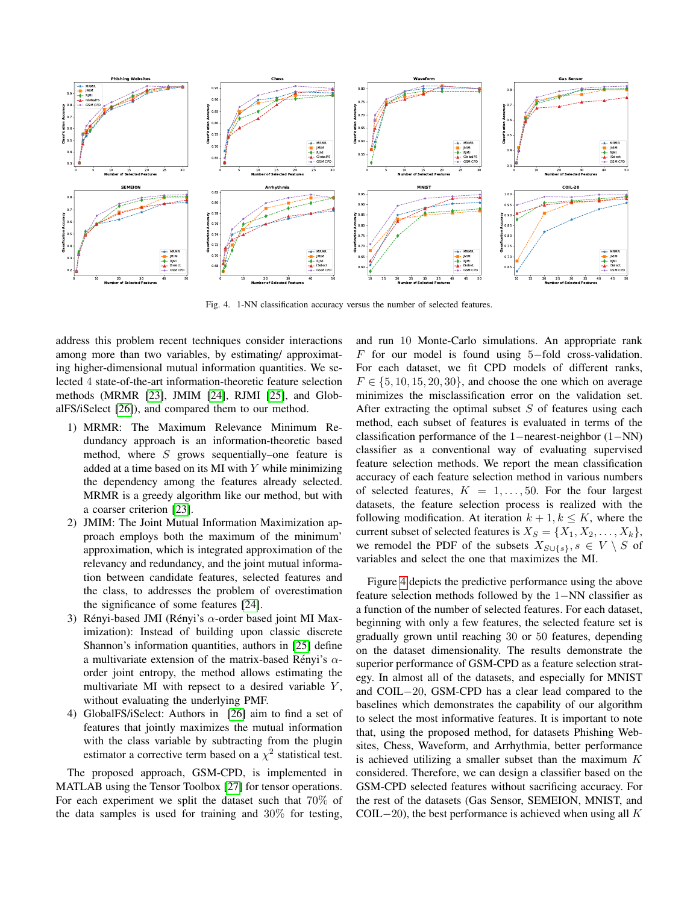

Fig. 4. 1-NN classification accuracy versus the number of selected features.

address this problem recent techniques consider interactions among more than two variables, by estimating/ approximating higher-dimensional mutual information quantities. We selected 4 state-of-the-art information-theoretic feature selection methods (MRMR [\[23\]](#page-6-22), JMIM [\[24\]](#page-6-23), RJMI [\[25\]](#page-6-24), and GlobalFS/iSelect [\[26\]](#page-6-25)), and compared them to our method.

- 1) MRMR: The Maximum Relevance Minimum Redundancy approach is an information-theoretic based method, where  $S$  grows sequentially–one feature is added at a time based on its MI with  $Y$  while minimizing the dependency among the features already selected. MRMR is a greedy algorithm like our method, but with a coarser criterion [\[23\]](#page-6-22).
- 2) JMIM: The Joint Mutual Information Maximization approach employs both the maximum of the minimum' approximation, which is integrated approximation of the relevancy and redundancy, and the joint mutual information between candidate features, selected features and the class, to addresses the problem of overestimation the significance of some features [\[24\]](#page-6-23).
- 3) Rényi-based JMI (Rényi's  $\alpha$ -order based joint MI Maximization): Instead of building upon classic discrete Shannon's information quantities, authors in [\[25\]](#page-6-24) define a multivariate extension of the matrix-based Rényi's  $\alpha$ order joint entropy, the method allows estimating the multivariate MI with repsect to a desired variable  $Y$ , without evaluating the underlying PMF.
- 4) GlobalFS/iSelect: Authors in [\[26\]](#page-6-25) aim to find a set of features that jointly maximizes the mutual information with the class variable by subtracting from the plugin estimator a corrective term based on a  $\chi^2$  statistical test.

The proposed approach, GSM-CPD, is implemented in MATLAB using the Tensor Toolbox [\[27\]](#page-6-26) for tensor operations. For each experiment we split the dataset such that 70% of the data samples is used for training and  $30\%$  for testing,

<span id="page-5-0"></span>and run 10 Monte-Carlo simulations. An appropriate rank F for our model is found using  $5$ -fold cross-validation. For each dataset, we fit CPD models of different ranks,  $F \in \{5, 10, 15, 20, 30\}$ , and choose the one which on average minimizes the misclassification error on the validation set. After extracting the optimal subset  $S$  of features using each method, each subset of features is evaluated in terms of the classification performance of the 1−nearest-neighbor (1−NN) classifier as a conventional way of evaluating supervised feature selection methods. We report the mean classification accuracy of each feature selection method in various numbers of selected features,  $K = 1, \ldots, 50$ . For the four largest datasets, the feature selection process is realized with the following modification. At iteration  $k + 1, k \leq K$ , where the current subset of selected features is  $X_S = \{X_1, X_2, \ldots, X_k\},\$ we remodel the PDF of the subsets  $X_{S\cup\{s\}}, s \in V \setminus S$  of variables and select the one that maximizes the MI.

Figure [4](#page-5-0) depicts the predictive performance using the above feature selection methods followed by the 1−NN classifier as a function of the number of selected features. For each dataset, beginning with only a few features, the selected feature set is gradually grown until reaching 30 or 50 features, depending on the dataset dimensionality. The results demonstrate the superior performance of GSM-CPD as a feature selection strategy. In almost all of the datasets, and especially for MNIST and COIL−20, GSM-CPD has a clear lead compared to the baselines which demonstrates the capability of our algorithm to select the most informative features. It is important to note that, using the proposed method, for datasets Phishing Websites, Chess, Waveform, and Arrhythmia, better performance is achieved utilizing a smaller subset than the maximum  $K$ considered. Therefore, we can design a classifier based on the GSM-CPD selected features without sacrificing accuracy. For the rest of the datasets (Gas Sensor, SEMEION, MNIST, and COIL $-20$ ), the best performance is achieved when using all K